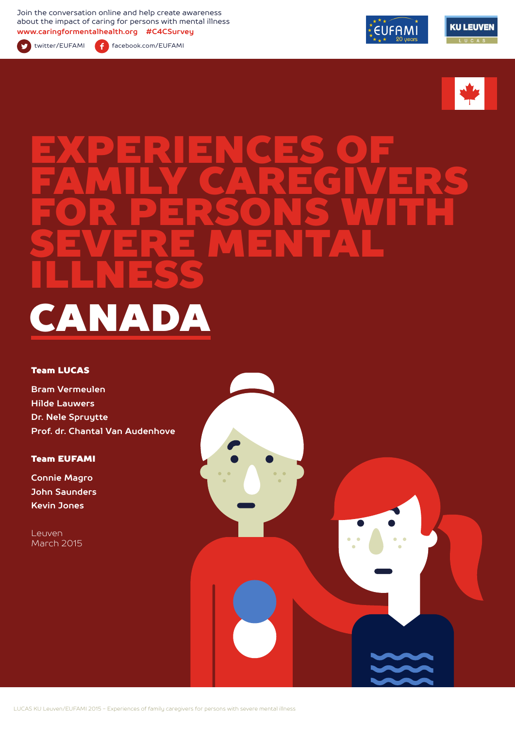Join the conversation online and help create awareness about the impact of caring for persons with mental illness **www.caringformentalhealth.org #C4CSurvey**



twitter/EUFAMI facebook.com/EUFAMI





# EXPERIENCES OF FAMILY CAREGIVERS FOR PERSONS WITH SEVERE MENTAL ILLNESS CANADA

#### Team LUCAS

**Bram Vermeulen Hilde Lauwers Dr. Nele Spruytte Prof. dr. Chantal Van Audenhove**

#### Team EUFAMI

**Connie Magro John Saunders Kevin Jones**

Leuven March 2015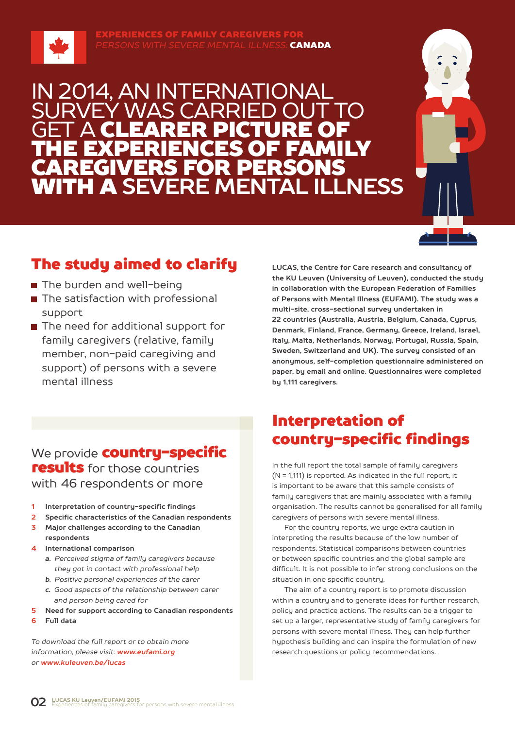

**ERIENCES OF FAMILY CAREGIV** *PERSONS WITH SEVERE MENTAL ILLNESS:* CANADA

## IN 2014, AN INTERNATIONAL Ý WAS CARRIE **GET A CLEARER PICTURE OF** THE EXPERIENCES OF FAMILY CAREGIVERS FOR PERSONS WITH A **SEVERE MENTAL ILLNESS**



## The study aimed to clarify

- The burden and well-being
- The satisfaction with professional support
- The need for additional support for family caregivers (relative, family member, non-paid caregiving and support) of persons with a severe mental illness

### We provide **country-specific results** for those countries with 46 respondents or more

- **1 Interpretation of country-specific findings**
- **2 Specific characteristics of the Canadian respondents**
- **3 Major challenges according to the Canadian respondents**
- **4 International comparison**
	- *a. Perceived stigma of family caregivers because they got in contact with professional help*
	- *b. Positive personal experiences of the carer*
	- *c. Good aspects of the relationship between carer and person being cared for*
- **5 Need for support according to Canadian respondents**
- **6 Full data**

*To download the full report or to obtain more information, please visit: www.eufami.org or www.kuleuven.be/lucas*

**LUCAS, the Centre for Care research and consultancy of the KU Leuven (University of Leuven), conducted the study in collaboration with the European Federation of Families of Persons with Mental Illness (EUFAMI). The study was a multi-site, cross-sectional survey undertaken in 22 countries (Australia, Austria, Belgium, Canada, Cyprus, Denmark, Finland, France, Germany, Greece, Ireland, Israel, Italy, Malta, Netherlands, Norway, Portugal, Russia, Spain, Sweden, Switzerland and UK). The survey consisted of an anonymous, self-completion questionnaire administered on paper, by email and online. Questionnaires were completed by 1,111 caregivers.** 

## Interpretation of country-specific findings

In the full report the total sample of family caregivers (N = 1,111) is reported. As indicated in the full report, it is important to be aware that this sample consists of family caregivers that are mainly associated with a family organisation. The results cannot be generalised for all family caregivers of persons with severe mental illness.

For the country reports, we urge extra caution in interpreting the results because of the low number of respondents. Statistical comparisons between countries or between specific countries and the global sample are difficult. It is not possible to infer strong conclusions on the situation in one specific country.

The aim of a country report is to promote discussion within a country and to generate ideas for further research, policy and practice actions. The results can be a trigger to set up a larger, representative study of family caregivers for persons with severe mental illness. They can help further hypothesis building and can inspire the formulation of new research questions or policy recommendations.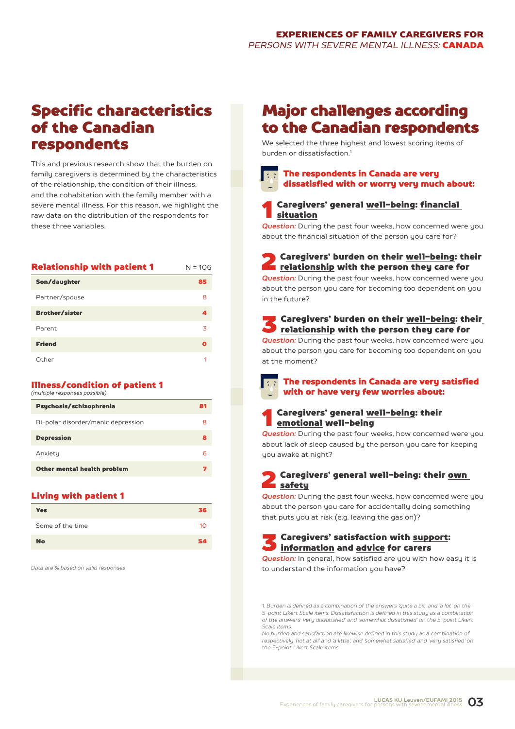## Specific characteristics of the Canadian respondents

This and previous research show that the burden on family caregivers is determined by the characteristics of the relationship, the condition of their illness, and the cohabitation with the family member with a severe mental illness. For this reason, we highlight the raw data on the distribution of the respondents for these three variables.

| <b>Relationship with patient 1</b> | $N = 106$ |
|------------------------------------|-----------|
| Son/daughter                       | 85        |
| Partner/spouse                     | 8         |
| <b>Brother/sister</b>              | 4         |
| Parent                             | 3         |
| <b>Friend</b>                      | O         |
| Other                              | 1         |

#### Illness/condition of patient 1 *(multiple responses possible)*

| Psychosis/schizophrenia            | 81 |
|------------------------------------|----|
| Bi-polar disorder/manic depression | 8  |
| <b>Depression</b>                  | 8  |
| Anxiety                            | 6  |
| Other mental health problem        |    |

#### Living with patient 1

| <b>Yes</b>       | 36 |
|------------------|----|
| Some of the time | 10 |
| <b>No</b>        | 54 |

*Data are % based on valid responses*

## Major challenges according to the Canadian respondents

We selected the three highest and lowest scoring items of burden or dissatisfaction<sup>1</sup>



### 1 Caregivers' general well-being: financial situation

*Question:* During the past four weeks, how concerned were you about the financial situation of the person you care for?

**2** Caregivers' burden on their <u>well-being</u>: their<br>relationship with the person they care for

*Question:* During the past four weeks, how concerned were you about the person you care for becoming too dependent on you in the future?

## S Caregivers' burden on their <u>well-being</u>: their<br><u>relationship</u> with the person they care for

*Question:* During the past four weeks, how concerned were you about the person you care for becoming too dependent on you at the moment?

- The respondents in Canada are very satisfied  $\overline{\mathbb{C}}$ with or have very few worries about:
- 1 Caregivers' general well-being: their emotional well-being

**Question:** During the past four weeks, how concerned were you about lack of sleep caused by the person you care for keeping you awake at night?

#### Caregivers' general well-being: their own safety

**Question:** During the past four weeks, how concerned were you about the person you care for accidentally doing something that puts you at risk (e.g. leaving the gas on)?

## S Caregivers' satisfaction with support:<br>information and advice for carers

**Question:** In general, how satisfied are you with how easy it is to understand the information you have?

*1. Burden is defined as a combination of the answers 'quite a bit' and 'a lot' on the 5-point Likert Scale items. Dissatisfaction is defined in this study as a combination of the answers 'very dissatisfied' and 'somewhat dissatisfied' on the 5-point Likert Scale items.*

*No burden and satisfaction are likewise defined in this study as a combination of respectively 'not at all' and 'a little', and 'somewhat satisfied' and 'very satisfied' on the 5-point Likert Scale items.*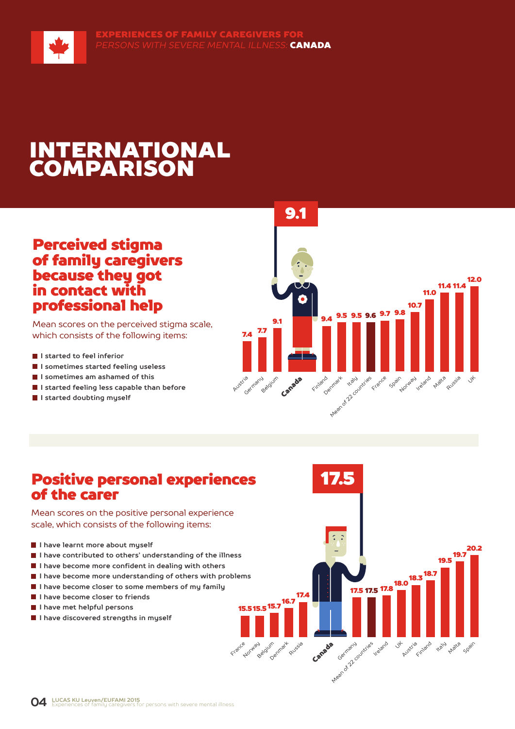

## Perceived stigma of family caregivers because they got in contact with professional help

Mean scores on the perceived stigma scale, which consists of the following items:

- **I** I started to feel inferior
- **I sometimes started feeling useless**
- **I sometimes am ashamed of this**
- **I started feeling less capable than before**
- **I started doubting myself**



17.5

Canada

16.7 17.4

**Russia** 

15.7 15.5 15.5

France Belgium Denmark

19.5<br>**19.5** 20.2

traly Matra Spain

 $18.3\frac{18.7}{...}$ 

Austria Finland

17.5 <sup>17.8</sup>

Ireland Jt

17.5

Arean of 22 countries

## Positive personal experiences of the carer

Mean scores on the positive personal experience scale, which consists of the following items:

- **I have learnt more about myself**
- **I have contributed to others' understanding of the illness**
- **I have become more confident in dealing with others**
- **I have become more understanding of others with problems**
- **I have become closer to some members of my family**
- **I have become closer to friends**
- **I have met helpful persons**
- **I** I have discovered strengths in muself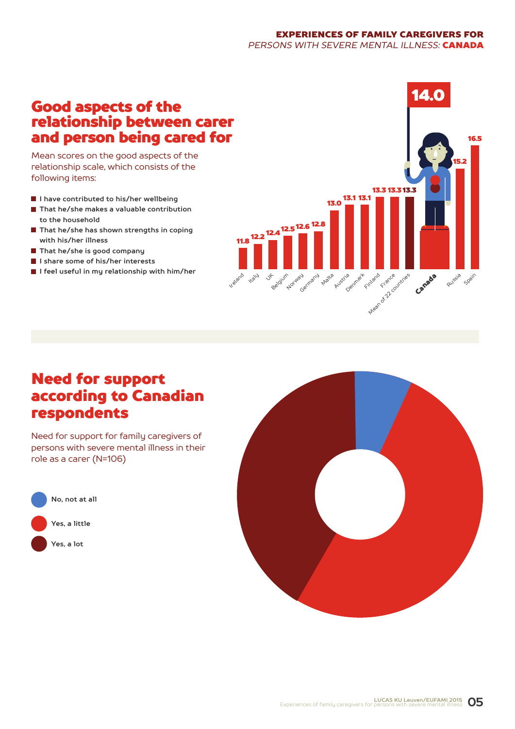#### EXPERIENCES OF FAMILY CAREGIVERS FOR *PERSONS WITH SEVERE MENTAL ILLNESS:* CANADA

## Good aspects of the relationship between carer and person being cared for

Mean scores on the good aspects of the relationship scale, which consists of the following items:

- **I have contributed to his/her wellbeing**
- **That he/she makes a valuable contribution to the household**
- **That he/she has shown strengths in coping with his/her illness**
- **That he/she is good company**
- **I share some of his/her interests**
- **I feel useful in my relationship with him/her**



## Need for support according to Canadian respondents

Need for support for family caregivers of persons with severe mental illness in their role as a carer (N=106)



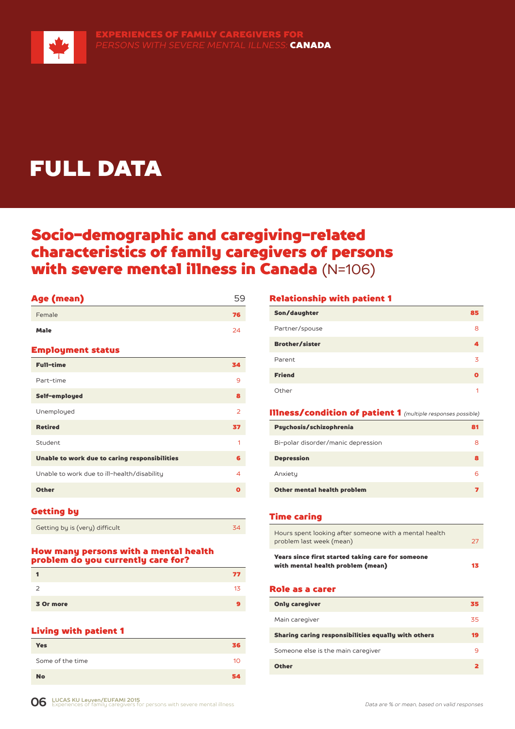

## FULL DATA

## Socio-demographic and caregiving-related characteristics of family caregivers of persons with severe mental illness in Canada (N=106)

| Age (mean)                                    | 59             |
|-----------------------------------------------|----------------|
| Female                                        | 76             |
| <b>Male</b>                                   | 24             |
| <b>Employment status</b>                      |                |
| <b>Full-time</b>                              | 34             |
| Part-time                                     | 9              |
| Self-employed                                 | 8              |
| Unemployed                                    | $\overline{2}$ |
| <b>Retired</b>                                | 37             |
| Student                                       | 1              |
| Unable to work due to caring responsibilities | 6              |
| Unable to work due to ill-health/disability   | 4              |
| <b>Other</b>                                  | O              |
|                                               |                |

#### Getting by

| Getting by is (very) difficult |  |
|--------------------------------|--|

#### How many persons with a mental health problem do you currently care for?

|           | 77 |
|-----------|----|
| -         | 13 |
| 3 Or more |    |

#### Living with patient 1

| . .              |                 |
|------------------|-----------------|
| <b>Yes</b>       | 36              |
| Some of the time | 10 <sup>1</sup> |
| <b>No</b>        | 54              |

#### Relationship with patient 1

| Son/daughter          | 85 |
|-----------------------|----|
| Partner/spouse        | 8  |
| <b>Brother/sister</b> |    |
| Parent                | 3  |
| <b>Friend</b>         | Ω  |
| Other                 | 1  |

#### Illness/condition of patient 1 *(multiple responses possible)*

| Psychosis/schizophrenia            | 81 |
|------------------------------------|----|
| Bi-polar disorder/manic depression | 8  |
| <b>Depression</b>                  |    |
| Anxiety                            |    |
| Other mental health problem        |    |

#### Time caring

| Years since first started taking care for someone<br>with mental health problem (mean) | 13 |
|----------------------------------------------------------------------------------------|----|
| Hours spent looking after someone with a mental health<br>problem last week (mean)     | 27 |

#### Role as a carer

| <b>Only caregiver</b>                               | 35 |
|-----------------------------------------------------|----|
| Main caregiver                                      | 35 |
| Sharing caring responsibilities equally with others | 19 |
| Someone else is the main caregiver                  | q  |
| <b>Other</b>                                        |    |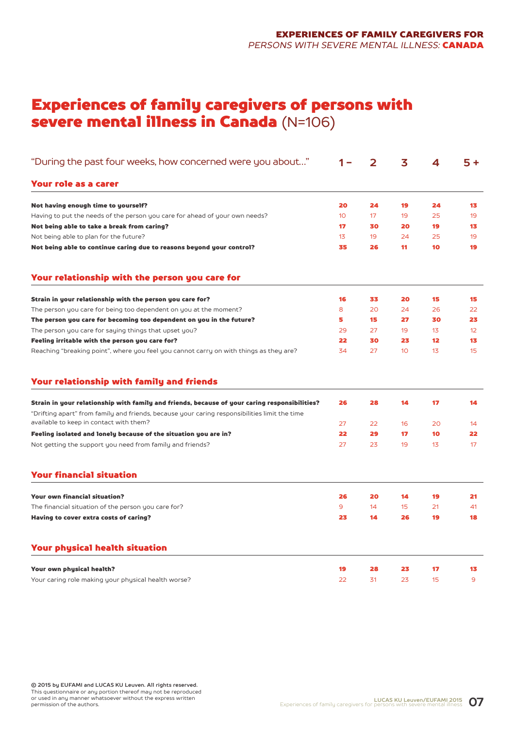## Experiences of family caregivers of persons with severe mental illness in Canada (N=106)

| "During the past four weeks, how concerned were you about"                                                                                                                                     |                 | 2  | 3               | 4               | $5+$           |
|------------------------------------------------------------------------------------------------------------------------------------------------------------------------------------------------|-----------------|----|-----------------|-----------------|----------------|
| Your role as a carer                                                                                                                                                                           |                 |    |                 |                 |                |
| Not having enough time to yourself?                                                                                                                                                            | 20              | 24 | 19              | 24              | 13             |
| Having to put the needs of the person you care for ahead of your own needs?                                                                                                                    | 10 <sup>°</sup> | 17 | 19              | 25              | 19             |
| Not being able to take a break from caring?                                                                                                                                                    | 17              | 30 | 20              | 19              | 13             |
| Not being able to plan for the future?                                                                                                                                                         | 13              | 19 | 24              | 25              | 19             |
| Not being able to continue caring due to reasons beyond your control?                                                                                                                          | 35              | 26 | 11              | 10              | 19             |
| Your relationship with the person you care for                                                                                                                                                 |                 |    |                 |                 |                |
| Strain in your relationship with the person you care for?                                                                                                                                      | 16              | 33 | 20              | 15              | 15             |
| The person you care for being too dependent on you at the moment?                                                                                                                              | 8               | 20 | 24              | 26              | 22             |
| The person you care for becoming too dependent on you in the future?                                                                                                                           | 5               | 15 | 27              | 30              | 23             |
| The person you care for saying things that upset you?                                                                                                                                          | 29              | 27 | 19              | $1\overline{5}$ | 12             |
| Feeling irritable with the person you care for?                                                                                                                                                | 22              | 30 | 23              | 12 <sup>2</sup> | 13             |
| Reaching "breaking point", where you feel you cannot carry on with things as they are?                                                                                                         | 34              | 27 | 10 <sup>°</sup> | 13              | 15             |
| Your relationship with family and friends                                                                                                                                                      |                 |    |                 |                 |                |
| Strain in your relationship with family and friends, because of your caring responsibilities?<br>"Drifting apart" from family and friends, because your caring responsibilities limit the time | 26              | 28 | 14              | 17              | 14             |
| available to keep in contact with them?                                                                                                                                                        | 27              | 22 | 16              | 20              | 14             |
| Feeling isolated and lonely because of the situation you are in?                                                                                                                               | 22              | 29 | 17              | 10              | 22             |
| Not getting the support you need from family and friends?                                                                                                                                      | 27              | 23 | 19              | 13              | 17             |
| <b>Your financial situation</b>                                                                                                                                                                |                 |    |                 |                 |                |
| <b>Your own financial situation?</b>                                                                                                                                                           | 26              | 20 | 14              | 19              | 21             |
| The financial situation of the person you care for?                                                                                                                                            | 9               | 14 | 15              | 21              | 41             |
| Having to cover extra costs of caring?                                                                                                                                                         | 23              | 14 | 26              | 19              | 18             |
| <b>Your physical health situation</b>                                                                                                                                                          |                 |    |                 |                 |                |
| Your own physical health?                                                                                                                                                                      | 19              | 28 | 23              | 17              | 13             |
| Your caring role making your physical health worse?                                                                                                                                            | 22              | 31 | 23              | 15              | $\overline{9}$ |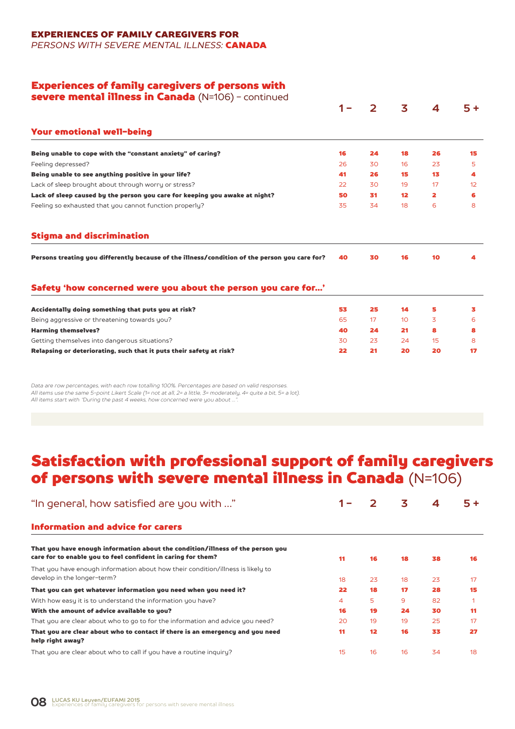EXPERIENCES OF FAMILY CAREGIVERS FOR

*PERSONS WITH SEVERE MENTAL ILLNESS:* CANADA

#### Experiences of family caregivers of persons with

| severe mental illness in Canada (N=106) - continued                                           |     |                |                 |                         |      |
|-----------------------------------------------------------------------------------------------|-----|----------------|-----------------|-------------------------|------|
|                                                                                               | 1 – | $\overline{2}$ | 3               | 4                       | $5+$ |
| Your emotional well-being                                                                     |     |                |                 |                         |      |
| Being unable to cope with the "constant anxiety" of caring?                                   | 16  | 24             | 18              | 26                      | 15   |
| Feeling depressed?                                                                            | 26  | 30             | 16              | 23                      | 5    |
| Being unable to see anything positive in your life?                                           | 41  | 26             | 15              | 13                      | 4    |
| Lack of sleep brought about through worry or stress?                                          | 22  | 30             | 19              | 17                      | 12   |
| Lack of sleep caused by the person you care for keeping you awake at night?                   | 50  | 31             | 12              | $\overline{\mathbf{2}}$ | 6    |
| Feeling so exhausted that you cannot function properly?                                       | 35  | 34             | 18              | 6                       | 8    |
| <b>Stigma and discrimination</b>                                                              |     |                |                 |                         |      |
| Persons treating you differently because of the illness/condition of the person you care for? | 40  | 30             | 16              | 10                      | 4    |
| Safety 'how concerned were you about the person you care for'                                 |     |                |                 |                         |      |
|                                                                                               |     | 25             | 14              | 5                       | 3.   |
| Accidentally doing something that puts you at risk?                                           | 53  |                |                 |                         |      |
| Being aggressive or threatening towards you?                                                  | 65  | 17             | 10 <sup>°</sup> | 3                       | 6    |
| <b>Harming themselves?</b>                                                                    | 40  | 24             | 21              | 8                       | 8    |
| Getting themselves into dangerous situations?                                                 | 30  | 23             | 24              | 15                      | 8    |

*Data are row percentages, with each row totalling 100%. Percentages are based on valid responses. All items use the same 5-point Likert Scale (1= not at all, 2= a little, 3= moderately, 4= quite a bit, 5= a lot). All items start with "During the past 4 weeks, how concerned were you about …".*

## Satisfaction with professional support of family caregivers of persons with severe mental illness in Canada (N=106)

| "In general, how satisfied are you with "                                                                                                      |    |    | 3  | 4  | $5+$ |
|------------------------------------------------------------------------------------------------------------------------------------------------|----|----|----|----|------|
| <b>Information and advice for carers</b>                                                                                                       |    |    |    |    |      |
| That you have enough information about the condition/illness of the person you<br>care for to enable you to feel confident in caring for them? | 11 | 16 | 18 | 38 | 16   |
| That you have enough information about how their condition/illness is likely to<br>develop in the longer-term?                                 | 18 | 23 | 18 | 23 | 17   |
| That you can get whatever information you need when you need it?                                                                               | 22 | 18 | 17 | 28 | 15   |
| With how easy it is to understand the information you have?                                                                                    | 4  | 5  | 9  | 82 |      |
| With the amount of advice available to you?                                                                                                    | 16 | 19 | 24 | 30 | 11   |
| That you are clear about who to go to for the information and advice you need?                                                                 | 20 | 19 | 19 | 25 | 17   |
| That you are clear about who to contact if there is an emergency and you need<br>help right away?                                              | 11 | 12 | 16 | 33 | 27   |
| That you are clear about who to call if you have a routine inquiry?                                                                            | 15 | 16 | 16 | 34 | 18   |